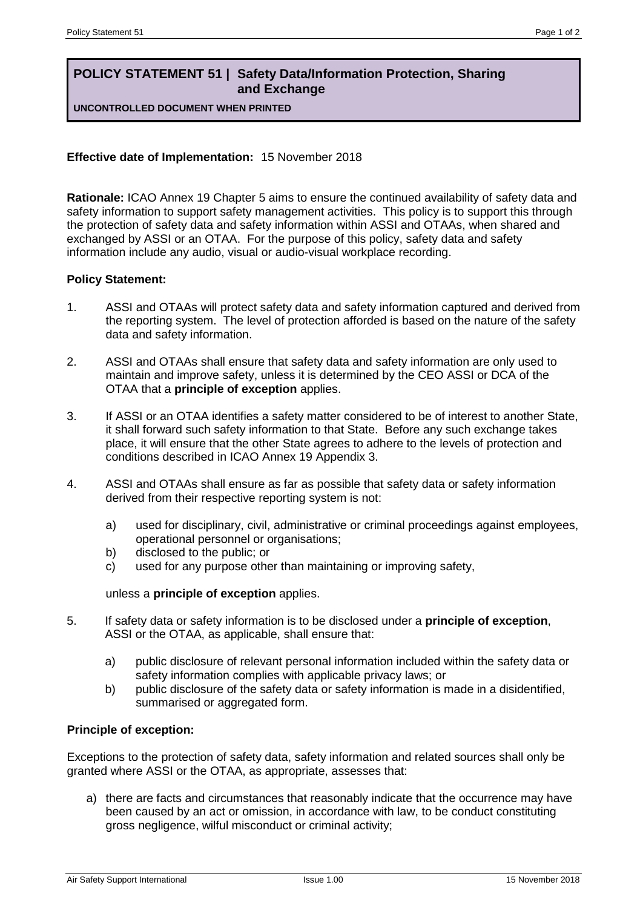# **POLICY STATEMENT 51 | Safety Data/Information Protection, Sharing and Exchange**

**UNCONTROLLED DOCUMENT WHEN PRINTED**

## **Effective date of Implementation:** 15 November 2018

**Rationale:** ICAO Annex 19 Chapter 5 aims to ensure the continued availability of safety data and safety information to support safety management activities. This policy is to support this through the protection of safety data and safety information within ASSI and OTAAs, when shared and exchanged by ASSI or an OTAA. For the purpose of this policy, safety data and safety information include any audio, visual or audio-visual workplace recording.

### **Policy Statement:**

- 1. ASSI and OTAAs will protect safety data and safety information captured and derived from the reporting system. The level of protection afforded is based on the nature of the safety data and safety information.
- 2. ASSI and OTAAs shall ensure that safety data and safety information are only used to maintain and improve safety, unless it is determined by the CEO ASSI or DCA of the OTAA that a **principle of exception** applies.
- 3. If ASSI or an OTAA identifies a safety matter considered to be of interest to another State, it shall forward such safety information to that State. Before any such exchange takes place, it will ensure that the other State agrees to adhere to the levels of protection and conditions described in ICAO Annex 19 Appendix 3.
- 4. ASSI and OTAAs shall ensure as far as possible that safety data or safety information derived from their respective reporting system is not:
	- a) used for disciplinary, civil, administrative or criminal proceedings against employees, operational personnel or organisations;
	- b) disclosed to the public; or
	- c) used for any purpose other than maintaining or improving safety,

### unless a **principle of exception** applies.

- 5. If safety data or safety information is to be disclosed under a **principle of exception**, ASSI or the OTAA, as applicable, shall ensure that:
	- a) public disclosure of relevant personal information included within the safety data or safety information complies with applicable privacy laws; or
	- b) public disclosure of the safety data or safety information is made in a disidentified, summarised or aggregated form.

### **Principle of exception:**

Exceptions to the protection of safety data, safety information and related sources shall only be granted where ASSI or the OTAA, as appropriate, assesses that:

a) there are facts and circumstances that reasonably indicate that the occurrence may have been caused by an act or omission, in accordance with law, to be conduct constituting gross negligence, wilful misconduct or criminal activity;